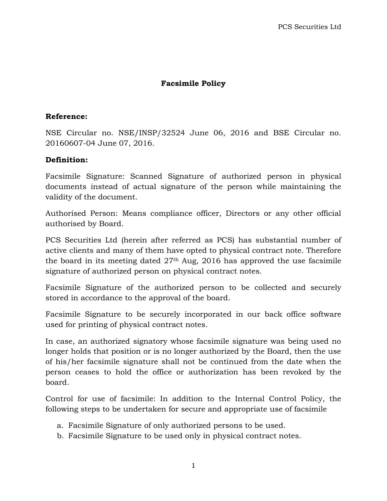## **Facsimile Policy**

## **Reference:**

NSE Circular no. NSE/INSP/32524 June 06, 2016 and BSE Circular no. 20160607-04 June 07, 2016.

## **Definition:**

Facsimile Signature: Scanned Signature of authorized person in physical documents instead of actual signature of the person while maintaining the validity of the document.

Authorised Person: Means compliance officer, Directors or any other official authorised by Board.

PCS Securities Ltd (herein after referred as PCS) has substantial number of active clients and many of them have opted to physical contract note. Therefore the board in its meeting dated  $27<sup>th</sup>$  Aug, 2016 has approved the use facsimile signature of authorized person on physical contract notes.

Facsimile Signature of the authorized person to be collected and securely stored in accordance to the approval of the board.

Facsimile Signature to be securely incorporated in our back office software used for printing of physical contract notes.

In case, an authorized signatory whose facsimile signature was being used no longer holds that position or is no longer authorized by the Board, then the use of his/her facsimile signature shall not be continued from the date when the person ceases to hold the office or authorization has been revoked by the board.

Control for use of facsimile: In addition to the Internal Control Policy, the following steps to be undertaken for secure and appropriate use of facsimile

- a. Facsimile Signature of only authorized persons to be used.
- b. Facsimile Signature to be used only in physical contract notes.